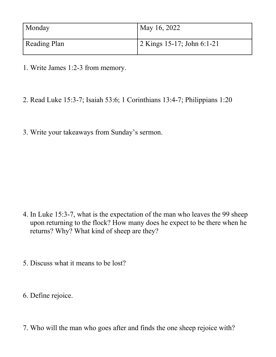| Monday              | May 16, 2022               |
|---------------------|----------------------------|
| <b>Reading Plan</b> | 2 Kings 15-17; John 6:1-21 |

- 1. Write James 1:2-3 from memory.
- 2. Read Luke 15:3-7; Isaiah 53:6; 1 Corinthians 13:4-7; Philippians 1:20
- 3. Write your takeaways from Sunday's sermon.

- 4. In Luke 15:3-7, what is the expectation of the man who leaves the 99 sheep upon returning to the flock? How many does he expect to be there when he returns? Why? What kind of sheep are they?
- 5. Discuss what it means to be lost?
- 6. Define rejoice.
- 7. Who will the man who goes after and finds the one sheep rejoice with?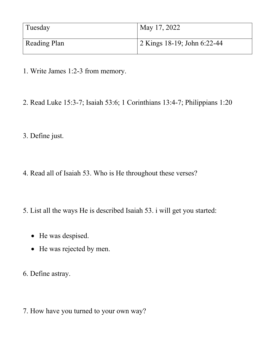| Tuesday             | May 17, 2022                |
|---------------------|-----------------------------|
| <b>Reading Plan</b> | 2 Kings 18-19; John 6:22-44 |

- 1. Write James 1:2-3 from memory.
- 2. Read Luke 15:3-7; Isaiah 53:6; 1 Corinthians 13:4-7; Philippians 1:20
- 3. Define just.
- 4. Read all of Isaiah 53. Who is He throughout these verses?
- 5. List all the ways He is described Isaiah 53. i will get you started:
	- He was despised.
	- He was rejected by men.
- 6. Define astray.
- 7. How have you turned to your own way?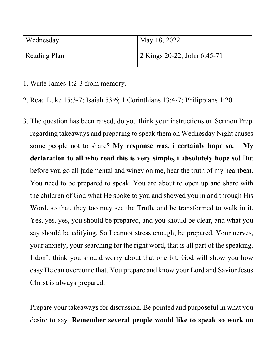| Wednesday           | May 18, 2022                |
|---------------------|-----------------------------|
| <b>Reading Plan</b> | 2 Kings 20-22; John 6:45-71 |

- 1. Write James 1:2-3 from memory.
- 2. Read Luke 15:3-7; Isaiah 53:6; 1 Corinthians 13:4-7; Philippians 1:20
- 3. The question has been raised, do you think your instructions on Sermon Prep regarding takeaways and preparing to speak them on Wednesday Night causes some people not to share? **My response was, i certainly hope so. My declaration to all who read this is very simple, i absolutely hope so!** But before you go all judgmental and winey on me, hear the truth of my heartbeat. You need to be prepared to speak. You are about to open up and share with the children of God what He spoke to you and showed you in and through His Word, so that, they too may see the Truth, and be transformed to walk in it. Yes, yes, yes, you should be prepared, and you should be clear, and what you say should be edifying. So I cannot stress enough, be prepared. Your nerves, your anxiety, your searching for the right word, that is all part of the speaking. I don't think you should worry about that one bit, God will show you how easy He can overcome that. You prepare and know your Lord and Savior Jesus Christ is always prepared.

Prepare your takeaways for discussion. Be pointed and purposeful in what you desire to say. **Remember several people would like to speak so work on**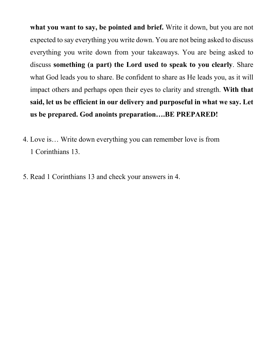**what you want to say, be pointed and brief.** Write it down, but you are not expected to say everything you write down. You are not being asked to discuss everything you write down from your takeaways. You are being asked to discuss **something (a part) the Lord used to speak to you clearly**. Share what God leads you to share. Be confident to share as He leads you, as it will impact others and perhaps open their eyes to clarity and strength. **With that said, let us be efficient in our delivery and purposeful in what we say. Let us be prepared. God anoints preparation….BE PREPARED!**

- 4. Love is… Write down everything you can remember love is from 1 Corinthians 13.
- 5. Read 1 Corinthians 13 and check your answers in 4.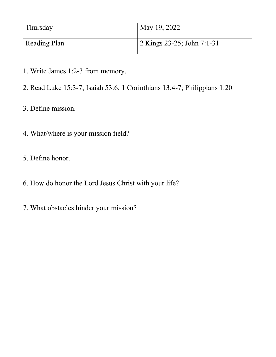| Thursday            | May 19, 2022                 |
|---------------------|------------------------------|
| <b>Reading Plan</b> | $2$ Kings 23-25; John 7:1-31 |

- 1. Write James 1:2-3 from memory.
- 2. Read Luke 15:3-7; Isaiah 53:6; 1 Corinthians 13:4-7; Philippians 1:20
- 3. Define mission.
- 4. What/where is your mission field?
- 5. Define honor.
- 6. How do honor the Lord Jesus Christ with your life?
- 7. What obstacles hinder your mission?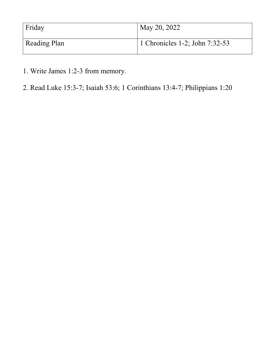| Friday              | May 20, 2022                   |
|---------------------|--------------------------------|
| <b>Reading Plan</b> | 1 Chronicles 1-2; John 7:32-53 |

- 1. Write James 1:2-3 from memory.
- 2. Read Luke 15:3-7; Isaiah 53:6; 1 Corinthians 13:4-7; Philippians 1:20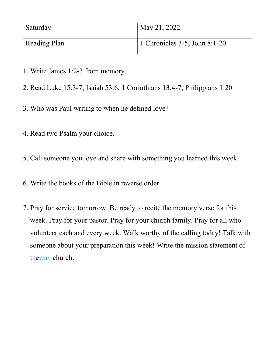| Saturday     | May 21, 2022                       |
|--------------|------------------------------------|
| Reading Plan | 1 Chronicles $3-5$ ; John $8:1-20$ |

- 1. Write James 1:2-3 from memory.
- 2. Read Luke 15:3-7; Isaiah 53:6; 1 Corinthians 13:4-7; Philippians 1:20
- 3. Who was Paul writing to when he defined love?
- 4. Read two Psalm your choice.
- 5. Call someone you love and share with something you learned this week.
- 6. Write the books of the Bible in reverse order.
- 7. Pray for service tomorrow. Be ready to recite the memory verse for this week. Pray for your pastor. Pray for your church family. Pray for all who volunteer each and every week. Walk worthy of the calling today! Talk with someone about your preparation this week! Write the mission statement of theway church.